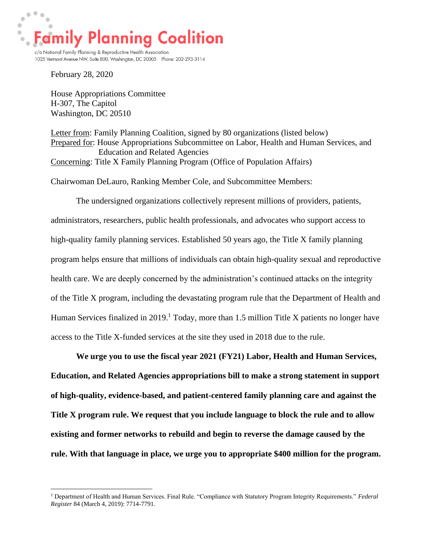$\begin{array}{c} \bullet & \bullet & \bullet \\ \bullet & \end{array}$  $\bullet$  $\bullet$ **Family Planning Coalition**  $\ddot{\bullet}$ c/o National Family Planning & Reproductive Health Association

1025 Vermont Avenue NW, Suite 800, Washington, DC 20005 Phone: 202-293-3114

February 28, 2020

House Appropriations Committee H-307, The Capitol Washington, DC 20510

Letter from: Family Planning Coalition, signed by 80 organizations (listed below) Prepared for: House Appropriations Subcommittee on Labor, Health and Human Services, and Education and Related Agencies Concerning: Title X Family Planning Program (Office of Population Affairs)

Chairwoman DeLauro, Ranking Member Cole, and Subcommittee Members:

The undersigned organizations collectively represent millions of providers, patients, administrators, researchers, public health professionals, and advocates who support access to high-quality family planning services. Established 50 years ago, the Title X family planning program helps ensure that millions of individuals can obtain high-quality sexual and reproductive health care. We are deeply concerned by the administration's continued attacks on the integrity of the Title X program, including the devastating program rule that the Department of Health and Human Services finalized in 2019.<sup>1</sup> Today, more than 1.5 million Title X patients no longer have access to the Title X-funded services at the site they used in 2018 due to the rule.

**We urge you to use the fiscal year 2021 (FY21) Labor, Health and Human Services, Education, and Related Agencies appropriations bill to make a strong statement in support of high-quality, evidence-based, and patient-centered family planning care and against the Title X program rule. We request that you include language to block the rule and to allow existing and former networks to rebuild and begin to reverse the damage caused by the rule. With that language in place, we urge you to appropriate \$400 million for the program.** 

<sup>1</sup> Department of Health and Human Services. Final Rule. "Compliance with Statutory Program Integrity Requirements." *Federal Register* 84 (March 4, 2019): 7714-7791.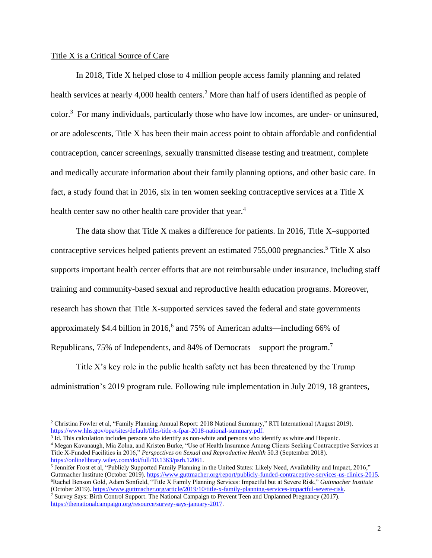## Title X is a Critical Source of Care

In 2018, Title X helped close to 4 million people access family planning and related health services at nearly 4,000 health centers.<sup>2</sup> More than half of users identified as people of color. <sup>3</sup> For many individuals, particularly those who have low incomes, are under- or uninsured, or are adolescents, Title X has been their main access point to obtain affordable and confidential contraception, cancer screenings, sexually transmitted disease testing and treatment, complete and medically accurate information about their family planning options, and other basic care. In fact, a study found that in 2016, six in ten women seeking contraceptive services at a Title X health center saw no other health care provider that year.<sup>4</sup>

The data show that Title X makes a difference for patients. In 2016, Title X–supported contraceptive services helped patients prevent an estimated  $755,000$  pregnancies.<sup>5</sup> Title X also supports important health center efforts that are not reimbursable under insurance, including staff training and community-based sexual and reproductive health education programs. Moreover, research has shown that Title X-supported services saved the federal and state governments approximately \$4.4 billion in 2016,<sup>6</sup> and 75% of American adults—including 66% of Republicans, 75% of Independents, and 84% of Democrats—support the program.<sup>7</sup>

Title X's key role in the public health safety net has been threatened by the Trump administration's 2019 program rule. Following rule implementation in July 2019, 18 grantees,

<sup>2</sup> Christina Fowler et al, "Family Planning Annual Report: 2018 National Summary," RTI International (August 2019). [https://www.hhs.gov/opa/sites/default/files/title-x-fpar-2018-national-summary.pdf.](https://www.hhs.gov/opa/sites/default/files/title-x-fpar-2018-national-summary.pdf)

<sup>&</sup>lt;sup>3</sup> Id. This calculation includes persons who identify as non-white and persons who identify as white and Hispanic.

<sup>4</sup> Megan Kavanaugh, Mia Zolna, and Kristen Burke, "Use of Health Insurance Among Clients Seeking Contraceptive Services at Title X-Funded Facilities in 2016," *Perspectives on Sexual and Reproductive Health* 50.3 (September 2018). [https://onlinelibrary.wiley.com/doi/full/10.1363/psrh.12061.](https://onlinelibrary.wiley.com/doi/full/10.1363/psrh.12061)

<sup>&</sup>lt;sup>5</sup> Jennifer Frost et al, "Publicly Supported Family Planning in the United States: Likely Need, Availability and Impact, 2016," Guttmacher Institute (October 2019)[. https://www.guttmacher.org/report/publicly-funded-contraceptive-services-us-clinics-2015.](https://www.guttmacher.org/report/publicly-funded-contraceptive-services-us-clinics-2015) <sup>6</sup>Rachel Benson Gold, Adam Sonfield, "Title X Family Planning Services: Impactful but at Severe Risk," *Guttmacher Institute*  (October 2019)[. https://www.guttmacher.org/article/2019/10/title-x-family-planning-services-impactful-severe-risk.](https://www.guttmacher.org/article/2019/10/title-x-family-planning-services-impactful-severe-risk)

<sup>7</sup> Survey Says: Birth Control Support. The National Campaign to Prevent Teen and Unplanned Pregnancy (2017). [https://thenationalcampaign.org/resource/survey-says-january-2017.](https://thenationalcampaign.org/resource/survey-says-january-2017)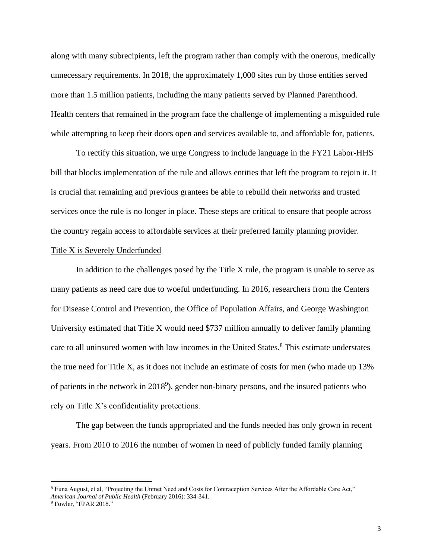along with many subrecipients, left the program rather than comply with the onerous, medically unnecessary requirements. In 2018, the approximately 1,000 sites run by those entities served more than 1.5 million patients, including the many patients served by Planned Parenthood. Health centers that remained in the program face the challenge of implementing a misguided rule while attempting to keep their doors open and services available to, and affordable for, patients.

To rectify this situation, we urge Congress to include language in the FY21 Labor-HHS bill that blocks implementation of the rule and allows entities that left the program to rejoin it. It is crucial that remaining and previous grantees be able to rebuild their networks and trusted services once the rule is no longer in place. These steps are critical to ensure that people across the country regain access to affordable services at their preferred family planning provider.

## Title X is Severely Underfunded

In addition to the challenges posed by the Title X rule, the program is unable to serve as many patients as need care due to woeful underfunding. In 2016, researchers from the Centers for Disease Control and Prevention, the Office of Population Affairs, and George Washington University estimated that Title X would need \$737 million annually to deliver family planning care to all uninsured women with low incomes in the United States. <sup>8</sup> This estimate understates the true need for Title X, as it does not include an estimate of costs for men (who made up 13% of patients in the network in 2018 9 ), gender non-binary persons, and the insured patients who rely on Title X's confidentiality protections.

The gap between the funds appropriated and the funds needed has only grown in recent years. From 2010 to 2016 the number of women in need of publicly funded family planning

<sup>&</sup>lt;sup>8</sup> Euna August, et al, "Projecting the Unmet Need and Costs for Contraception Services After the Affordable Care Act," *American Journal of Public Health* (February 2016): 334-341.

<sup>9</sup> Fowler, "FPAR 2018."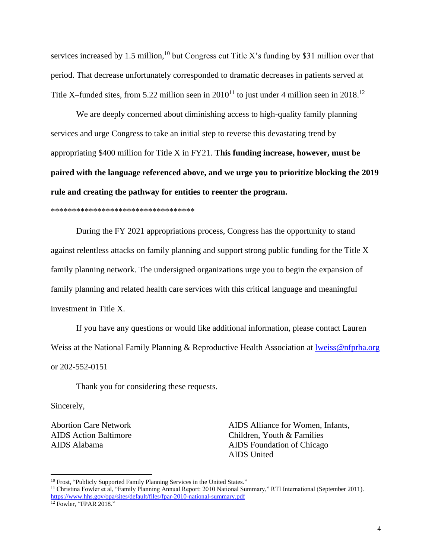services increased by 1.5 million,<sup>10</sup> but Congress cut Title X's funding by \$31 million over that period. That decrease unfortunately corresponded to dramatic decreases in patients served at Title X–funded sites, from 5.22 million seen in  $2010^{11}$  to just under 4 million seen in  $2018$ .<sup>12</sup>

We are deeply concerned about diminishing access to high-quality family planning services and urge Congress to take an initial step to reverse this devastating trend by appropriating \$400 million for Title X in FY21. **This funding increase, however, must be paired with the language referenced above, and we urge you to prioritize blocking the 2019 rule and creating the pathway for entities to reenter the program.** 

\*\*\*\*\*\*\*\*\*\*\*\*\*\*\*\*\*\*\*\*\*\*\*\*\*\*\*\*\*\*\*\*\*\*

During the FY 2021 appropriations process, Congress has the opportunity to stand against relentless attacks on family planning and support strong public funding for the Title X family planning network. The undersigned organizations urge you to begin the expansion of family planning and related health care services with this critical language and meaningful investment in Title X.

If you have any questions or would like additional information, please contact Lauren Weiss at the National Family Planning & Reproductive Health Association at Iweiss@nfprha.org or 202-552-0151

Thank you for considering these requests.

Sincerely,

Abortion Care Network AIDS Action Baltimore AIDS Alabama

AIDS Alliance for Women, Infants, Children, Youth & Families AIDS Foundation of Chicago AIDS United

<sup>&</sup>lt;sup>10</sup> Frost, "Publicly Supported Family Planning Services in the United States."

<sup>&</sup>lt;sup>11</sup> Christina Fowler et al, "Family Planning Annual Report: 2010 National Summary," RTI International (September 2011). <https://www.hhs.gov/opa/sites/default/files/fpar-2010-national-summary.pdf>

<sup>12</sup> Fowler, "FPAR 2018."